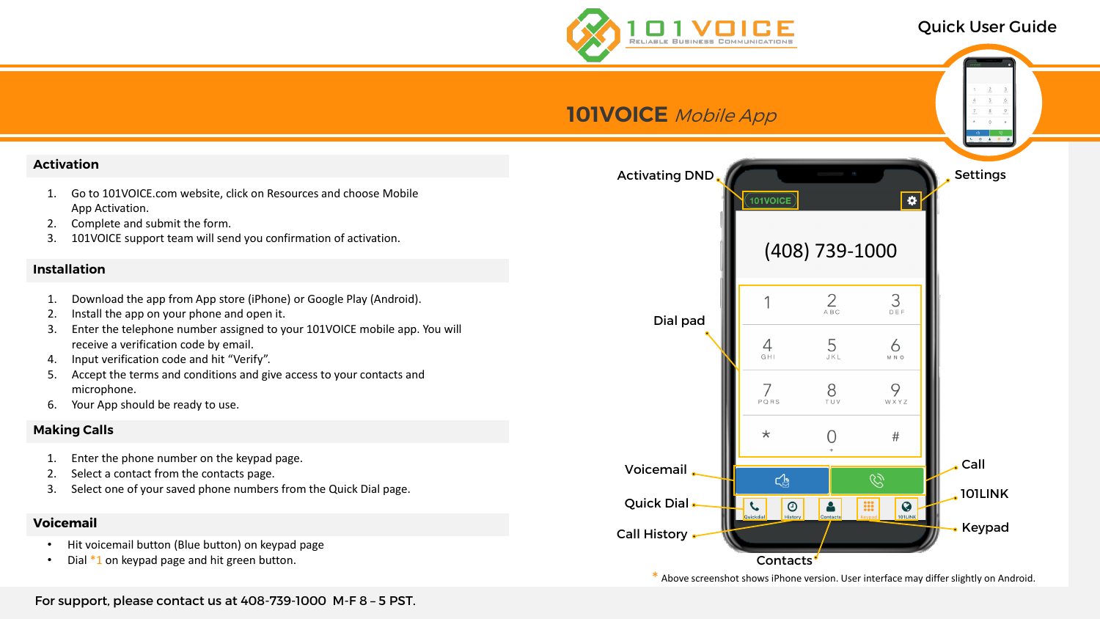# Quick User Guide

For support, please contact us at 408-739-1000 M-F 8 – 5 PST.